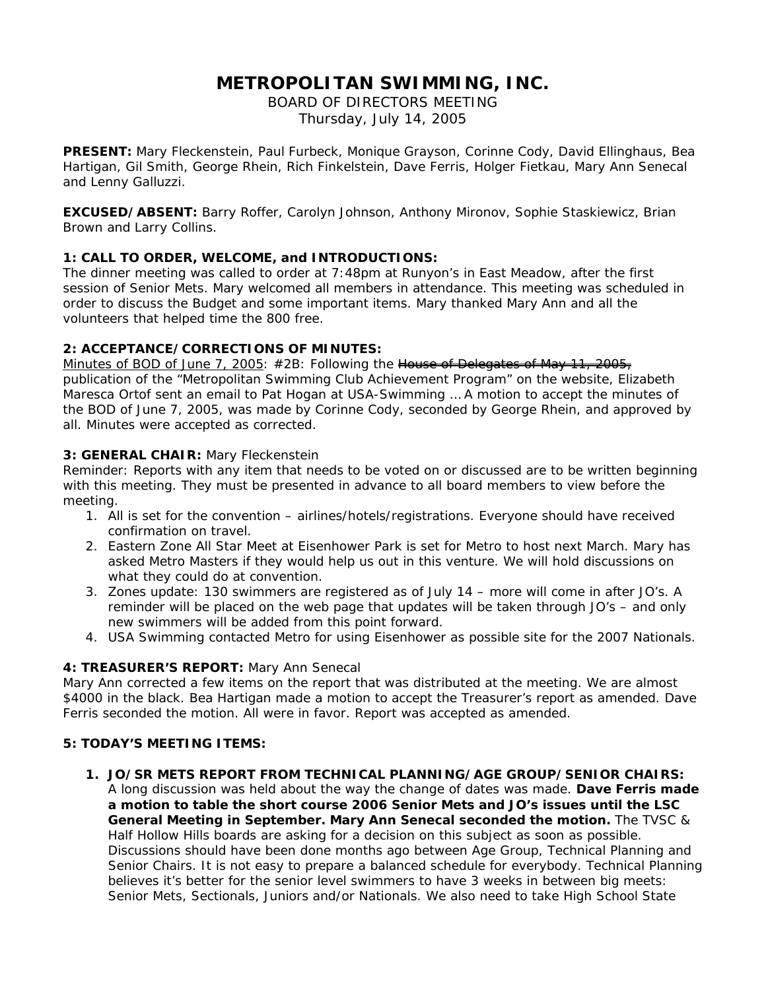# **METROPOLITAN SWIMMING, INC.**

BOARD OF DIRECTORS MEETING Thursday, July 14, 2005

**PRESENT:** Mary Fleckenstein, Paul Furbeck, Monique Grayson, Corinne Cody, David Ellinghaus, Bea Hartigan, Gil Smith, George Rhein, Rich Finkelstein, Dave Ferris, Holger Fietkau, Mary Ann Senecal and Lenny Galluzzi.

**EXCUSED/ABSENT:** Barry Roffer, Carolyn Johnson, Anthony Mironov, Sophie Staskiewicz, Brian Brown and Larry Collins.

## **1: CALL TO ORDER, WELCOME, and INTRODUCTIONS:**

The dinner meeting was called to order at 7:48pm at Runyon's in East Meadow, after the first session of Senior Mets. Mary welcomed all members in attendance. This meeting was scheduled in order to discuss the Budget and some important items. Mary thanked Mary Ann and all the volunteers that helped time the 800 free.

## **2: ACCEPTANCE/CORRECTIONS OF MINUTES:**

Minutes of BOD of June 7, 2005: #2B*: Following the House of Delegates of May 11, 2005, publication of the "Metropolitan Swimming Club Achievement Program" on the website, Elizabeth Maresca Ortof sent an email to Pat Hogan at USA-Swimming* … A motion to accept the minutes of the BOD of June 7, 2005, was made by Corinne Cody, seconded by George Rhein, and approved by all. Minutes were accepted as corrected.

### **3: GENERAL CHAIR:** Mary Fleckenstein

Reminder: Reports with any item that needs to be voted on or discussed are to be written beginning with this meeting. They must be presented in advance to all board members to view before the meeting.

- 1. All is set for the convention airlines/hotels/registrations. Everyone should have received confirmation on travel.
- 2. Eastern Zone All Star Meet at Eisenhower Park is set for Metro to host next March. Mary has asked Metro Masters if they would help us out in this venture. We will hold discussions on what they could do at convention.
- 3. Zones update: 130 swimmers are registered as of July 14 more will come in after JO's. A reminder will be placed on the web page that updates will be taken through JO's – and only new swimmers will be added from this point forward.
- 4. USA Swimming contacted Metro for using Eisenhower as possible site for the 2007 Nationals.

# **4: TREASURER'S REPORT:** Mary Ann Senecal

Mary Ann corrected a few items on the report that was distributed at the meeting. We are almost \$4000 in the black. Bea Hartigan made a motion to accept the Treasurer's report as amended. Dave Ferris seconded the motion. All were in favor. Report was accepted as amended.

### **5: TODAY'S MEETING ITEMS:**

### *1.* **JO/SR METS REPORT FROM TECHNICAL PLANNING/AGE GROUP/SENIOR CHAIRS:**

A long discussion was held about the way the change of dates was made. *Dave Ferris made a motion to table the short course 2006 Senior Mets and JO's issues until the LSC General Meeting in September. Mary Ann Senecal seconded the motion.* The TVSC & Half Hollow Hills boards are asking for a decision on this subject as soon as possible. Discussions should have been done months ago between Age Group, Technical Planning and Senior Chairs. It is not easy to prepare a balanced schedule for everybody. Technical Planning believes it's better for the senior level swimmers to have 3 weeks in between big meets: Senior Mets, Sectionals, Juniors and/or Nationals. We also need to take High School State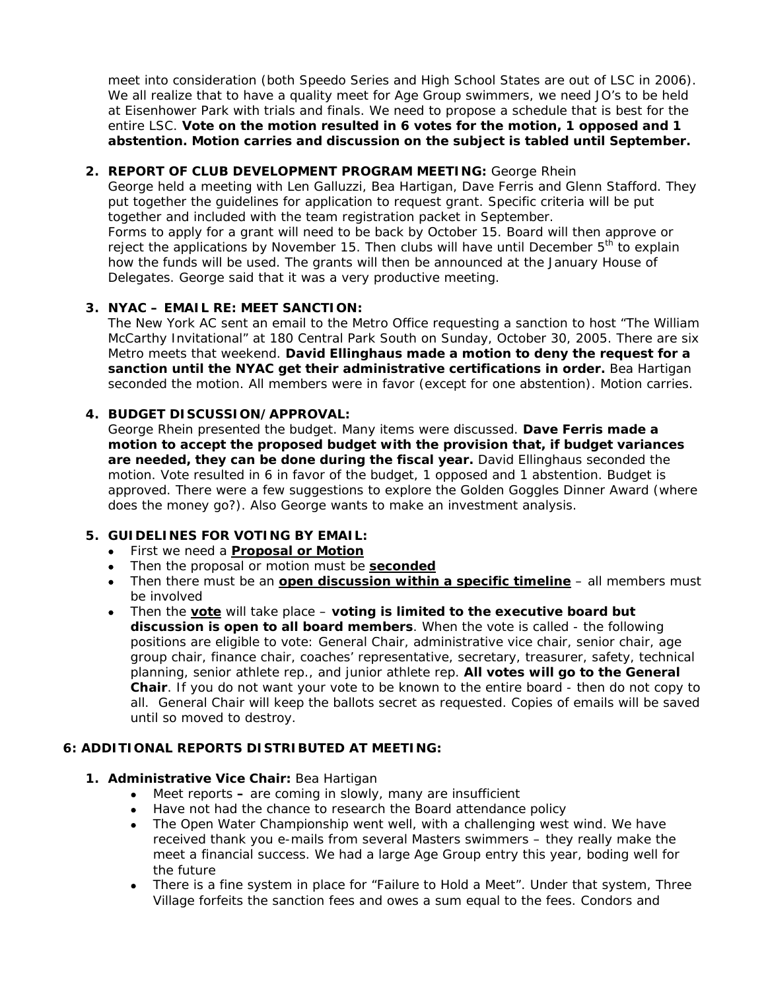meet into consideration (both Speedo Series and High School States are out of LSC in 2006). We all realize that to have a quality meet for Age Group swimmers, we need JO's to be held at Eisenhower Park with trials and finals. We need to propose a schedule that is best for the entire LSC. *Vote on the motion resulted in 6 votes for the motion, 1 opposed and 1 abstention. Motion carries and discussion on the subject is tabled until September.* 

## **2. REPORT OF CLUB DEVELOPMENT PROGRAM MEETING:** George Rhein

Delegates. George said that it was a very productive meeting.

George held a meeting with Len Galluzzi, Bea Hartigan, Dave Ferris and Glenn Stafford. They put together the guidelines for application to request grant. Specific criteria will be put together and included with the team registration packet in September. Forms to apply for a grant will need to be back by October 15. Board will then approve or reject the applications by November 15. Then clubs will have until December 5<sup>th</sup> to explain how the funds will be used. The grants will then be announced at the January House of

# **3. NYAC – EMAIL RE: MEET SANCTION:**

The New York AC sent an email to the Metro Office requesting a sanction to host "The William McCarthy Invitational" at 180 Central Park South on Sunday, October 30, 2005. There are six Metro meets that weekend. *David Ellinghaus made a motion to deny the request for a sanction until the NYAC get their administrative certifications in order.* Bea Hartigan seconded the motion. All members were in favor (except for one abstention). Motion carries.

## **4. BUDGET DISCUSSION/APPROVAL:**

George Rhein presented the budget. Many items were discussed. *Dave Ferris made a motion to accept the proposed budget with the provision that, if budget variances*  are needed, they can be done during the fiscal year. David Ellinghaus seconded the motion. Vote resulted in 6 in favor of the budget, 1 opposed and 1 abstention. Budget is approved. There were a few suggestions to explore the Golden Goggles Dinner Award (where does the money go?). Also George wants to make an investment analysis.

# **5. GUIDELINES FOR VOTING BY EMAIL:**

- First we need a **Proposal or Motion**
- Then the proposal or motion must be **seconded**
- Then there must be an **open discussion within a specific timeline** all members must be involved
- Then the **vote** will take place *voting is limited to the executive board but discussion is open to all board members*. When the vote is called - the following positions are eligible to vote: General Chair, administrative vice chair, senior chair, age group chair, finance chair, coaches' representative, secretary, treasurer, safety, technical planning, senior athlete rep., and junior athlete rep. *All votes will go to the General Chair*. If you do not want your vote to be known to the entire board - then do not copy to all. General Chair will keep the ballots secret as requested. Copies of emails will be saved until so moved to destroy.

### **6: ADDITIONAL REPORTS DISTRIBUTED AT MEETING:**

### **1. Administrative Vice Chair:** Bea Hartigan

- Meet reportsare coming in slowly, many are insufficient
- Have not had the chance to research the Board attendance policy
- The Open Water Championship went well, with a challenging west wind. We have received thank you e-mails from several Masters swimmers – they really make the meet a financial success. We had a large Age Group entry this year, boding well for the future
- There is a fine system in place for "Failure to Hold a Meet". Under that system, Three Village forfeits the sanction fees and owes a sum equal to the fees. Condors and